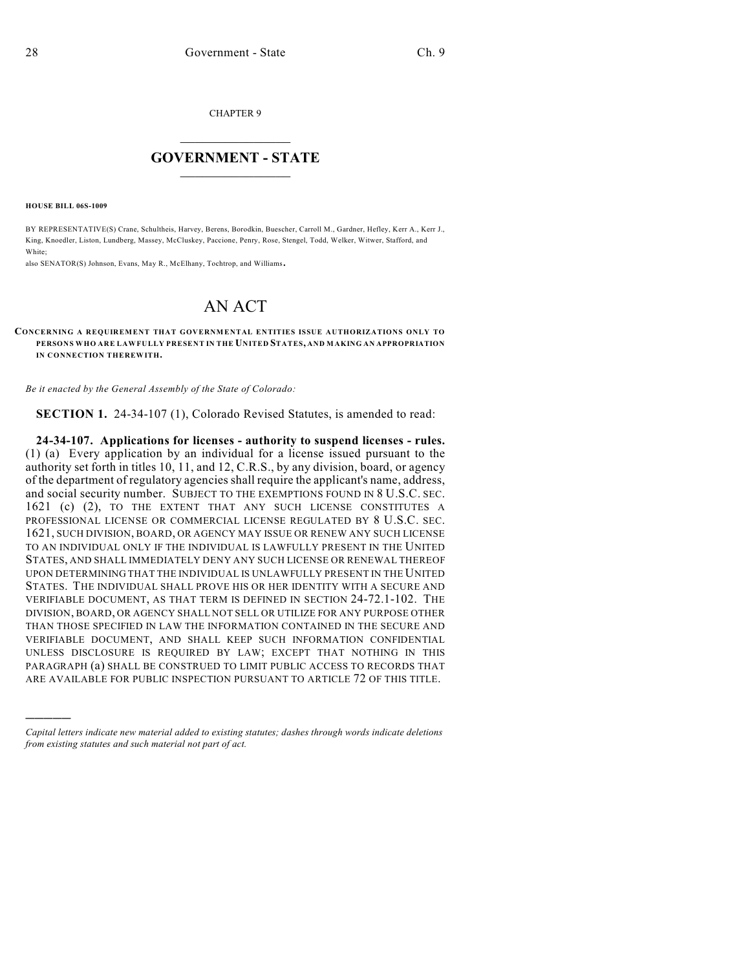CHAPTER 9

## $\overline{\phantom{a}}$  . The set of the set of the set of the set of the set of the set of the set of the set of the set of the set of the set of the set of the set of the set of the set of the set of the set of the set of the set o **GOVERNMENT - STATE**  $\_$

**HOUSE BILL 06S-1009**

)))))

BY REPRESENTATIVE(S) Crane, Schultheis, Harvey, Berens, Borodkin, Buescher, Carroll M., Gardner, Hefley, Kerr A., Kerr J., King, Knoedler, Liston, Lundberg, Massey, McCluskey, Paccione, Penry, Rose, Stengel, Todd, Welker, Witwer, Stafford, and White;

also SENATOR(S) Johnson, Evans, May R., McElhany, Tochtrop, and Williams.

## AN ACT

## **CONCERNING A REQUIREMENT THAT GOVERNMENTAL ENTITIES ISSUE AUTHORIZATIONS ONLY TO PERSONS WHO ARE LAWFULLY PRESENT IN THE UNITED STATES, AND MAKING AN APPROPRIATION IN CONNECTION THEREWITH.**

*Be it enacted by the General Assembly of the State of Colorado:*

**SECTION 1.** 24-34-107 (1), Colorado Revised Statutes, is amended to read:

**24-34-107. Applications for licenses - authority to suspend licenses - rules.** (1) (a) Every application by an individual for a license issued pursuant to the authority set forth in titles 10, 11, and 12, C.R.S., by any division, board, or agency of the department of regulatory agencies shall require the applicant's name, address, and social security number. SUBJECT TO THE EXEMPTIONS FOUND IN 8 U.S.C. SEC. 1621 (c) (2), TO THE EXTENT THAT ANY SUCH LICENSE CONSTITUTES A PROFESSIONAL LICENSE OR COMMERCIAL LICENSE REGULATED BY 8 U.S.C. SEC. 1621, SUCH DIVISION, BOARD, OR AGENCY MAY ISSUE OR RENEW ANY SUCH LICENSE TO AN INDIVIDUAL ONLY IF THE INDIVIDUAL IS LAWFULLY PRESENT IN THE UNITED STATES, AND SHALL IMMEDIATELY DENY ANY SUCH LICENSE OR RENEWAL THEREOF UPON DETERMINING THAT THE INDIVIDUAL IS UNLAWFULLY PRESENT IN THE UNITED STATES. THE INDIVIDUAL SHALL PROVE HIS OR HER IDENTITY WITH A SECURE AND VERIFIABLE DOCUMENT, AS THAT TERM IS DEFINED IN SECTION 24-72.1-102. THE DIVISION, BOARD, OR AGENCY SHALL NOT SELL OR UTILIZE FOR ANY PURPOSE OTHER THAN THOSE SPECIFIED IN LAW THE INFORMATION CONTAINED IN THE SECURE AND VERIFIABLE DOCUMENT, AND SHALL KEEP SUCH INFORMATION CONFIDENTIAL UNLESS DISCLOSURE IS REQUIRED BY LAW; EXCEPT THAT NOTHING IN THIS PARAGRAPH (a) SHALL BE CONSTRUED TO LIMIT PUBLIC ACCESS TO RECORDS THAT ARE AVAILABLE FOR PUBLIC INSPECTION PURSUANT TO ARTICLE 72 OF THIS TITLE.

*Capital letters indicate new material added to existing statutes; dashes through words indicate deletions from existing statutes and such material not part of act.*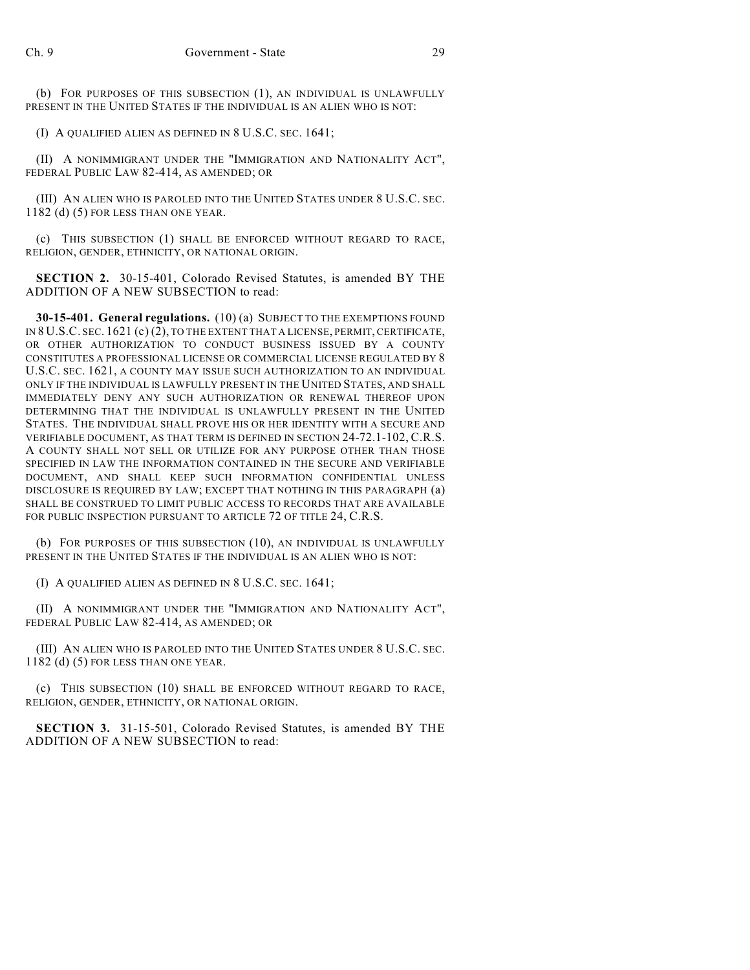(b) FOR PURPOSES OF THIS SUBSECTION (1), AN INDIVIDUAL IS UNLAWFULLY PRESENT IN THE UNITED STATES IF THE INDIVIDUAL IS AN ALIEN WHO IS NOT:

(I) A QUALIFIED ALIEN AS DEFINED IN 8 U.S.C. SEC. 1641;

(II) A NONIMMIGRANT UNDER THE "IMMIGRATION AND NATIONALITY ACT", FEDERAL PUBLIC LAW 82-414, AS AMENDED; OR

(III) AN ALIEN WHO IS PAROLED INTO THE UNITED STATES UNDER 8 U.S.C. SEC. 1182 (d) (5) FOR LESS THAN ONE YEAR.

(c) THIS SUBSECTION (1) SHALL BE ENFORCED WITHOUT REGARD TO RACE, RELIGION, GENDER, ETHNICITY, OR NATIONAL ORIGIN.

**SECTION 2.** 30-15-401, Colorado Revised Statutes, is amended BY THE ADDITION OF A NEW SUBSECTION to read:

**30-15-401. General regulations.** (10) (a) SUBJECT TO THE EXEMPTIONS FOUND IN 8 U.S.C. SEC. 1621 (c) (2), TO THE EXTENT THAT A LICENSE, PERMIT, CERTIFICATE, OR OTHER AUTHORIZATION TO CONDUCT BUSINESS ISSUED BY A COUNTY CONSTITUTES A PROFESSIONAL LICENSE OR COMMERCIAL LICENSE REGULATED BY 8 U.S.C. SEC. 1621, A COUNTY MAY ISSUE SUCH AUTHORIZATION TO AN INDIVIDUAL ONLY IF THE INDIVIDUAL IS LAWFULLY PRESENT IN THE UNITED STATES, AND SHALL IMMEDIATELY DENY ANY SUCH AUTHORIZATION OR RENEWAL THEREOF UPON DETERMINING THAT THE INDIVIDUAL IS UNLAWFULLY PRESENT IN THE UNITED STATES. THE INDIVIDUAL SHALL PROVE HIS OR HER IDENTITY WITH A SECURE AND VERIFIABLE DOCUMENT, AS THAT TERM IS DEFINED IN SECTION 24-72.1-102, C.R.S. A COUNTY SHALL NOT SELL OR UTILIZE FOR ANY PURPOSE OTHER THAN THOSE SPECIFIED IN LAW THE INFORMATION CONTAINED IN THE SECURE AND VERIFIABLE DOCUMENT, AND SHALL KEEP SUCH INFORMATION CONFIDENTIAL UNLESS DISCLOSURE IS REQUIRED BY LAW; EXCEPT THAT NOTHING IN THIS PARAGRAPH (a) SHALL BE CONSTRUED TO LIMIT PUBLIC ACCESS TO RECORDS THAT ARE AVAILABLE FOR PUBLIC INSPECTION PURSUANT TO ARTICLE 72 OF TITLE 24, C.R.S.

(b) FOR PURPOSES OF THIS SUBSECTION (10), AN INDIVIDUAL IS UNLAWFULLY PRESENT IN THE UNITED STATES IF THE INDIVIDUAL IS AN ALIEN WHO IS NOT:

(I) A QUALIFIED ALIEN AS DEFINED IN 8 U.S.C. SEC. 1641;

(II) A NONIMMIGRANT UNDER THE "IMMIGRATION AND NATIONALITY ACT", FEDERAL PUBLIC LAW 82-414, AS AMENDED; OR

(III) AN ALIEN WHO IS PAROLED INTO THE UNITED STATES UNDER 8 U.S.C. SEC. 1182 (d) (5) FOR LESS THAN ONE YEAR.

(c) THIS SUBSECTION (10) SHALL BE ENFORCED WITHOUT REGARD TO RACE, RELIGION, GENDER, ETHNICITY, OR NATIONAL ORIGIN.

**SECTION 3.** 31-15-501, Colorado Revised Statutes, is amended BY THE ADDITION OF A NEW SUBSECTION to read: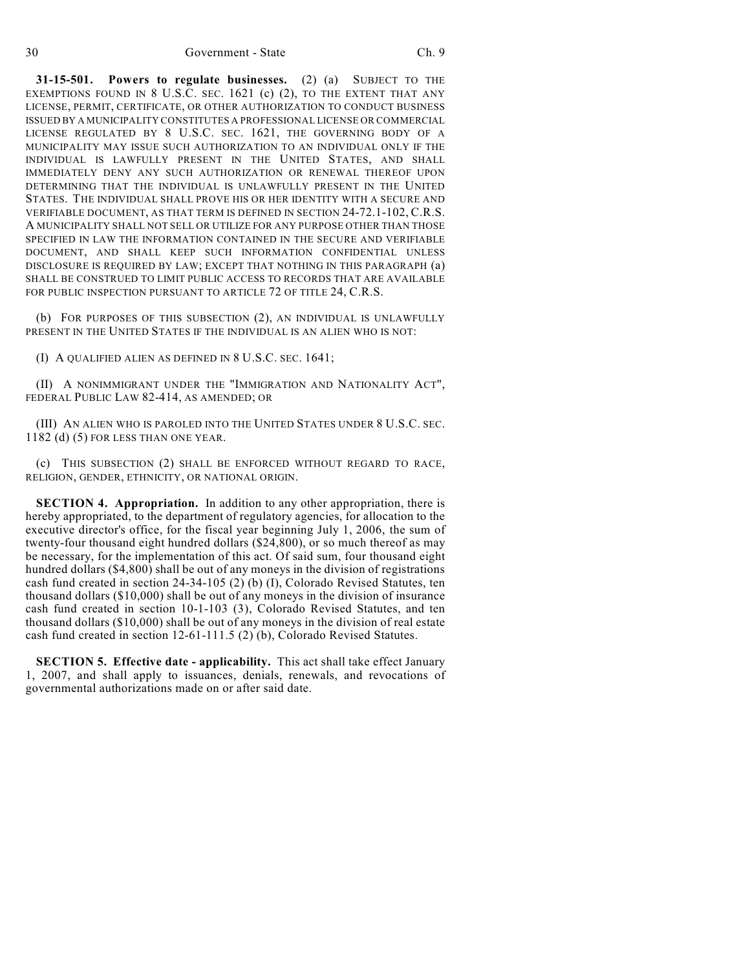**31-15-501. Powers to regulate businesses.** (2) (a) SUBJECT TO THE EXEMPTIONS FOUND IN 8 U.S.C. SEC. 1621 (c) (2), TO THE EXTENT THAT ANY LICENSE, PERMIT, CERTIFICATE, OR OTHER AUTHORIZATION TO CONDUCT BUSINESS ISSUED BY A MUNICIPALITY CONSTITUTES A PROFESSIONAL LICENSE OR COMMERCIAL LICENSE REGULATED BY 8 U.S.C. SEC. 1621, THE GOVERNING BODY OF A MUNICIPALITY MAY ISSUE SUCH AUTHORIZATION TO AN INDIVIDUAL ONLY IF THE INDIVIDUAL IS LAWFULLY PRESENT IN THE UNITED STATES, AND SHALL IMMEDIATELY DENY ANY SUCH AUTHORIZATION OR RENEWAL THEREOF UPON DETERMINING THAT THE INDIVIDUAL IS UNLAWFULLY PRESENT IN THE UNITED STATES. THE INDIVIDUAL SHALL PROVE HIS OR HER IDENTITY WITH A SECURE AND VERIFIABLE DOCUMENT, AS THAT TERM IS DEFINED IN SECTION 24-72.1-102, C.R.S. A MUNICIPALITY SHALL NOT SELL OR UTILIZE FOR ANY PURPOSE OTHER THAN THOSE SPECIFIED IN LAW THE INFORMATION CONTAINED IN THE SECURE AND VERIFIABLE DOCUMENT, AND SHALL KEEP SUCH INFORMATION CONFIDENTIAL UNLESS DISCLOSURE IS REQUIRED BY LAW; EXCEPT THAT NOTHING IN THIS PARAGRAPH (a) SHALL BE CONSTRUED TO LIMIT PUBLIC ACCESS TO RECORDS THAT ARE AVAILABLE FOR PUBLIC INSPECTION PURSUANT TO ARTICLE 72 OF TITLE 24, C.R.S.

(b) FOR PURPOSES OF THIS SUBSECTION (2), AN INDIVIDUAL IS UNLAWFULLY PRESENT IN THE UNITED STATES IF THE INDIVIDUAL IS AN ALIEN WHO IS NOT:

(I) A QUALIFIED ALIEN AS DEFINED IN 8 U.S.C. SEC. 1641;

(II) A NONIMMIGRANT UNDER THE "IMMIGRATION AND NATIONALITY ACT", FEDERAL PUBLIC LAW 82-414, AS AMENDED; OR

(III) AN ALIEN WHO IS PAROLED INTO THE UNITED STATES UNDER 8 U.S.C. SEC. 1182 (d) (5) FOR LESS THAN ONE YEAR.

(c) THIS SUBSECTION (2) SHALL BE ENFORCED WITHOUT REGARD TO RACE, RELIGION, GENDER, ETHNICITY, OR NATIONAL ORIGIN.

**SECTION 4. Appropriation.** In addition to any other appropriation, there is hereby appropriated, to the department of regulatory agencies, for allocation to the executive director's office, for the fiscal year beginning July 1, 2006, the sum of twenty-four thousand eight hundred dollars (\$24,800), or so much thereof as may be necessary, for the implementation of this act. Of said sum, four thousand eight hundred dollars (\$4,800) shall be out of any moneys in the division of registrations cash fund created in section 24-34-105 (2) (b) (I), Colorado Revised Statutes, ten thousand dollars (\$10,000) shall be out of any moneys in the division of insurance cash fund created in section 10-1-103 (3), Colorado Revised Statutes, and ten thousand dollars (\$10,000) shall be out of any moneys in the division of real estate cash fund created in section 12-61-111.5 (2) (b), Colorado Revised Statutes.

**SECTION 5. Effective date - applicability.** This act shall take effect January 1, 2007, and shall apply to issuances, denials, renewals, and revocations of governmental authorizations made on or after said date.